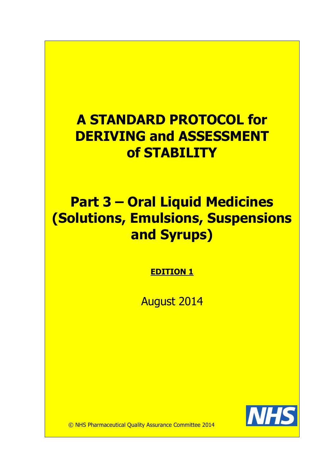# A STANDARD PROTOCOL for DERIVING and ASSESSMENT of STABILITY

# Part 3 – Oral Liquid Medicines (Solutions, Emulsions, Suspensions and Syrups)

EDITION 1

August 2014



© NHS Pharmaceutical Quality Assurance Committee 2014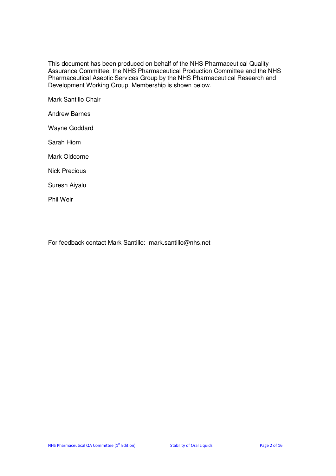This document has been produced on behalf of the NHS Pharmaceutical Quality Assurance Committee, the NHS Pharmaceutical Production Committee and the NHS Pharmaceutical Aseptic Services Group by the NHS Pharmaceutical Research and Development Working Group. Membership is shown below.

Mark Santillo Chair

Andrew Barnes

Wayne Goddard

Sarah Hiom

Mark Oldcorne

Nick Precious

Suresh Aiyalu

Phil Weir

For feedback contact Mark Santillo: mark.santillo@nhs.net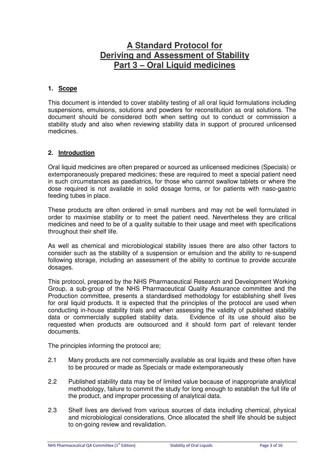## **A Standard Protocol for Deriving and Assessment of Stability Part 3 – Oral Liquid medicines**

#### **1. Scope**

This document is intended to cover stability testing of all oral liquid formulations including suspensions, emulsions, solutions and powders for reconstitution as oral solutions. The document should be considered both when setting out to conduct or commission a stability study and also when reviewing stability data in support of procured unlicensed medicines.

#### **2. Introduction**

Oral liquid medicines are often prepared or sourced as unlicensed medicines (Specials) or extemporaneously prepared medicines; these are required to meet a special patient need in such circumstances as paediatrics, for those who cannot swallow tablets or where the dose required is not available in solid dosage forms, or for patients with naso-gastric feeding tubes in place.

These products are often ordered in small numbers and may not be well formulated in order to maximise stability or to meet the patient need. Nevertheless they are critical medicines and need to be of a quality suitable to their usage and meet with specifications throughout their shelf life.

As well as chemical and microbiological stability issues there are also other factors to consider such as the stability of a suspension or emulsion and the ability to re-suspend following storage, including an assessment of the ability to continue to provide accurate dosages.

This protocol, prepared by the NHS Pharmaceutical Research and Development Working Group, a sub-group of the NHS Pharmaceutical Quality Assurance committee and the Production committee, presents a standardised methodology for establishing shelf lives for oral liquid products. It is expected that the principles of the protocol are used when conducting in-house stability trials and when assessing the validity of published stability data or commercially supplied stability data. Evidence of its use should also be requested when products are outsourced and it should form part of relevant tender documents.

The principles informing the protocol are;

- 2.1 Many products are not commercially available as oral liquids and these often have to be procured or made as Specials or made extemporaneously
- 2.2 Published stability data may be of limited value because of inappropriate analytical methodology, failure to commit the study for long enough to establish the full life of the product, and improper processing of analytical data.
- 2.3 Shelf lives are derived from various sources of data including chemical, physical and microbiological considerations. Once allocated the shelf life should be subject to on-going review and revalidation.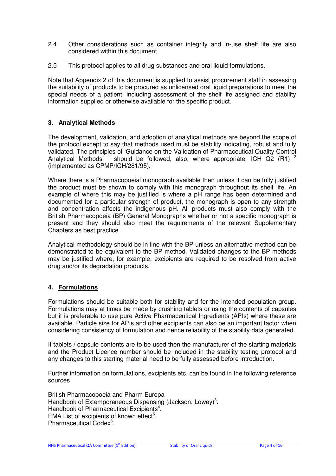- 2.4 Other considerations such as container integrity and in-use shelf life are also considered within this document
- 2.5 This protocol applies to all drug substances and oral liquid formulations.

Note that Appendix 2 of this document is supplied to assist procurement staff in assessing the suitability of products to be procured as unlicensed oral liquid preparations to meet the special needs of a patient, including assessment of the shelf life assigned and stability information supplied or otherwise available for the specific product.

## **3. Analytical Methods**

The development, validation, and adoption of analytical methods are beyond the scope of the protocol except to say that methods used must be stability indicating, robust and fully validated. The principles of 'Guidance on the Validation of Pharmaceutical Quality Control Analytical Methods<sup>' 1</sup> should be followed, also, where appropriate, ICH Q2 (R1) <sup>2</sup> (implemented as CPMP/ICH/281/95).

Where there is a Pharmacopoeial monograph available then unless it can be fully justified the product must be shown to comply with this monograph throughout its shelf life. An example of where this may be justified is where a pH range has been determined and documented for a particular strength of product, the monograph is open to any strength and concentration affects the indigenous pH. All products must also comply with the British Pharmacopoeia (BP) General Monographs whether or not a specific monograph is present and they should also meet the requirements of the relevant Supplementary Chapters as best practice.

Analytical methodology should be in line with the BP unless an alternative method can be demonstrated to be equivalent to the BP method. Validated changes to the BP methods may be justified where, for example, excipients are required to be resolved from active drug and/or its degradation products.

## **4. Formulations**

Formulations should be suitable both for stability and for the intended population group. Formulations may at times be made by crushing tablets or using the contents of capsules but it is preferable to use pure Active Pharmaceutical Ingredients (APIs) where these are available. Particle size for APIs and other excipients can also be an important factor when considering consistency of formulation and hence reliability of the stability data generated.

If tablets / capsule contents are to be used then the manufacturer of the starting materials and the Product Licence number should be included in the stability testing protocol and any changes to this starting material need to be fully assessed before introduction.

Further information on formulations, excipients etc. can be found in the following reference sources

British Pharmacopoeia and Pharm Europa Handbook of Extemporaneous Dispensing (Jackson, Lowey)<sup>3</sup>. Handbook of Pharmaceutical Excipients<sup>4</sup>. EMA List of excipients of known effect<sup>5</sup>. Pharmaceutical Codex<sup>6</sup>.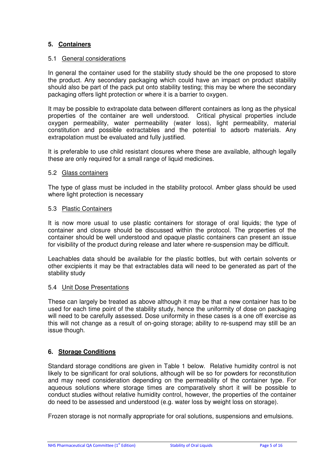## **5. Containers**

#### 5.1 General considerations

In general the container used for the stability study should be the one proposed to store the product. Any secondary packaging which could have an impact on product stability should also be part of the pack put onto stability testing; this may be where the secondary packaging offers light protection or where it is a barrier to oxygen.

It may be possible to extrapolate data between different containers as long as the physical properties of the container are well understood. Critical physical properties include oxygen permeability, water permeability (water loss), light permeability, material constitution and possible extractables and the potential to adsorb materials. Any extrapolation must be evaluated and fully justified.

It is preferable to use child resistant closures where these are available, although legally these are only required for a small range of liquid medicines.

#### 5.2 Glass containers

The type of glass must be included in the stability protocol. Amber glass should be used where light protection is necessary

#### 5.3 Plastic Containers

It is now more usual to use plastic containers for storage of oral liquids; the type of container and closure should be discussed within the protocol. The properties of the container should be well understood and opaque plastic containers can present an issue for visibility of the product during release and later where re-suspension may be difficult.

Leachables data should be available for the plastic bottles, but with certain solvents or other excipients it may be that extractables data will need to be generated as part of the stability study

## 5.4 Unit Dose Presentations

These can largely be treated as above although it may be that a new container has to be used for each time point of the stability study, hence the uniformity of dose on packaging will need to be carefully assessed. Dose uniformity in these cases is a one off exercise as this will not change as a result of on-going storage; ability to re-suspend may still be an issue though.

## **6. Storage Conditions**

Standard storage conditions are given in Table 1 below. Relative humidity control is not likely to be significant for oral solutions, although will be so for powders for reconstitution and may need consideration depending on the permeability of the container type. For aqueous solutions where storage times are comparatively short it will be possible to conduct studies without relative humidity control, however, the properties of the container do need to be assessed and understood (e.g. water loss by weight loss on storage).

Frozen storage is not normally appropriate for oral solutions, suspensions and emulsions.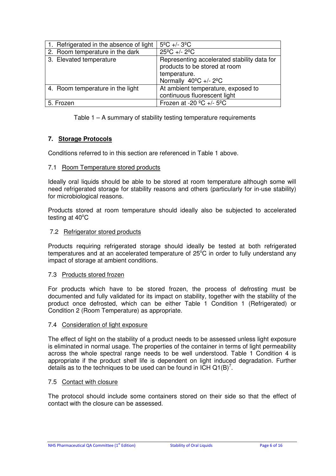| 1. Refrigerated in the absence of light | $5^{\circ}$ C +/- 3 <sup>o</sup> C                                                                                              |
|-----------------------------------------|---------------------------------------------------------------------------------------------------------------------------------|
| 2. Room temperature in the dark         | $25^{\circ}$ C +/- $2^{\circ}$ C                                                                                                |
| 3. Elevated temperature                 | Representing accelerated stability data for<br>products to be stored at room<br>temperature.<br>Normally $40^{\circ}$ C +/- 2°C |
| 4. Room temperature in the light        | At ambient temperature, exposed to<br>continuous fluorescent light                                                              |
| 5. Frozen                               | Frozen at -20 $^{\circ}$ C +/- 5 $^{\circ}$ C                                                                                   |

Table 1 – A summary of stability testing temperature requirements

## **7. Storage Protocols**

Conditions referred to in this section are referenced in Table 1 above.

## 7.1 Room Temperature stored products

Ideally oral liquids should be able to be stored at room temperature although some will need refrigerated storage for stability reasons and others (particularly for in-use stability) for microbiological reasons.

Products stored at room temperature should ideally also be subjected to accelerated testing at  $40^{\circ}$ C

## 7.2 Refrigerator stored products

Products requiring refrigerated storage should ideally be tested at both refrigerated temperatures and at an accelerated temperature of  $25^{\circ}$ C in order to fully understand any impact of storage at ambient conditions.

## 7.3 Products stored frozen

For products which have to be stored frozen, the process of defrosting must be documented and fully validated for its impact on stability, together with the stability of the product once defrosted, which can be either Table 1 Condition 1 (Refrigerated) or Condition 2 (Room Temperature) as appropriate.

## 7.4 Consideration of light exposure

The effect of light on the stability of a product needs to be assessed unless light exposure is eliminated in normal usage. The properties of the container in terms of light permeability across the whole spectral range needs to be well understood. Table 1 Condition 4 is appropriate if the product shelf life is dependent on light induced degradation. Further details as to the techniques to be used can be found in ICH Q1(B)<sup>7</sup>.

## 7.5 Contact with closure

The protocol should include some containers stored on their side so that the effect of contact with the closure can be assessed.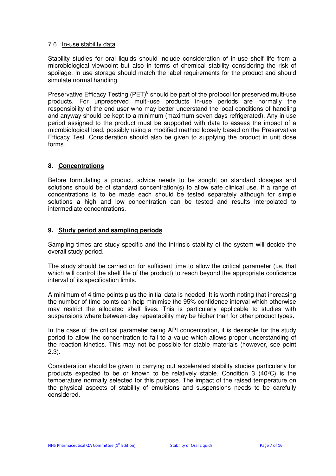#### 7.6 In-use stability data

Stability studies for oral liquids should include consideration of in-use shelf life from a microbiological viewpoint but also in terms of chemical stability considering the risk of spoilage. In use storage should match the label requirements for the product and should simulate normal handling.

Preservative Efficacy Testing (PET)<sup>8</sup> should be part of the protocol for preserved multi-use products. For unpreserved multi-use products in-use periods are normally the responsibility of the end user who may better understand the local conditions of handling and anyway should be kept to a minimum (maximum seven days refrigerated). Any in use period assigned to the product must be supported with data to assess the impact of a microbiological load, possibly using a modified method loosely based on the Preservative Efficacy Test. Consideration should also be given to supplying the product in unit dose forms.

## **8. Concentrations**

Before formulating a product, advice needs to be sought on standard dosages and solutions should be of standard concentration(s) to allow safe clinical use. If a range of concentrations is to be made each should be tested separately although for simple solutions a high and low concentration can be tested and results interpolated to intermediate concentrations.

## **9. Study period and sampling periods**

Sampling times are study specific and the intrinsic stability of the system will decide the overall study period.

The study should be carried on for sufficient time to allow the critical parameter (i.e. that which will control the shelf life of the product) to reach beyond the appropriate confidence interval of its specification limits.

A minimum of 4 time points plus the initial data is needed. It is worth noting that increasing the number of time points can help minimise the 95% confidence interval which otherwise may restrict the allocated shelf lives. This is particularly applicable to studies with suspensions where between-day repeatability may be higher than for other product types.

In the case of the critical parameter being API concentration, it is desirable for the study period to allow the concentration to fall to a value which allows proper understanding of the reaction kinetics. This may not be possible for stable materials (however, see point 2.3).

Consideration should be given to carrying out accelerated stability studies particularly for products expected to be or known to be relatively stable. Condition 3 (40ºC) is the temperature normally selected for this purpose. The impact of the raised temperature on the physical aspects of stability of emulsions and suspensions needs to be carefully considered.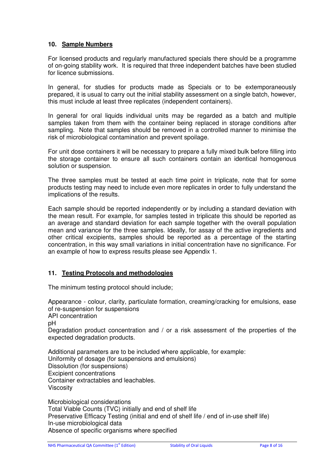## **10. Sample Numbers**

For licensed products and regularly manufactured specials there should be a programme of on-going stability work. It is required that three independent batches have been studied for licence submissions.

In general, for studies for products made as Specials or to be extemporaneously prepared, it is usual to carry out the initial stability assessment on a single batch, however, this must include at least three replicates (independent containers).

In general for oral liquids individual units may be regarded as a batch and multiple samples taken from them with the container being replaced in storage conditions after sampling. Note that samples should be removed in a controlled manner to minimise the risk of microbiological contamination and prevent spoilage.

For unit dose containers it will be necessary to prepare a fully mixed bulk before filling into the storage container to ensure all such containers contain an identical homogenous solution or suspension.

The three samples must be tested at each time point in triplicate, note that for some products testing may need to include even more replicates in order to fully understand the implications of the results.

Each sample should be reported independently or by including a standard deviation with the mean result. For example, for samples tested in triplicate this should be reported as an average and standard deviation for each sample together with the overall population mean and variance for the three samples. Ideally, for assay of the active ingredients and other critical excipients, samples should be reported as a percentage of the starting concentration, in this way small variations in initial concentration have no significance. For an example of how to express results please see Appendix 1.

## **11. Testing Protocols and methodologies**

The minimum testing protocol should include;

Appearance - colour, clarity, particulate formation, creaming/cracking for emulsions, ease of re-suspension for suspensions API concentration

pH

Degradation product concentration and / or a risk assessment of the properties of the expected degradation products.

Additional parameters are to be included where applicable, for example: Uniformity of dosage (for suspensions and emulsions) Dissolution (for suspensions) Excipient concentrations Container extractables and leachables. Viscosity

Microbiological considerations Total Viable Counts (TVC) initially and end of shelf life Preservative Efficacy Testing (initial and end of shelf life / end of in-use shelf life) In-use microbiological data Absence of specific organisms where specified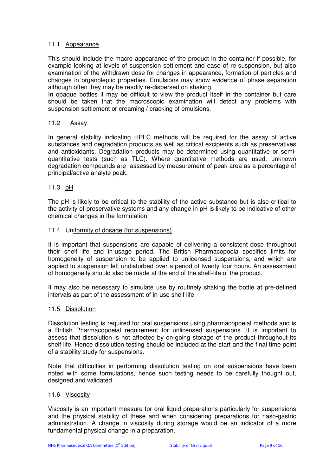## 11.1 Appearance

This should include the macro appearance of the product in the container if possible, for example looking at levels of suspension settlement and ease of re-suspension, but also examination of the withdrawn dose for changes in appearance, formation of particles and changes in organoleptic properties. Emulsions may show evidence of phase separation although often they may be readily re-dispersed on shaking.

In opaque bottles it may be difficult to view the product itself in the container but care should be taken that the macroscopic examination will detect any problems with suspension settlement or creaming / cracking of emulsions.

## 11.2 Assay

In general stability indicating HPLC methods will be required for the assay of active substances and degradation products as well as critical excipients such as preservatives and antioxidants. Degradation products may be determined using quantitative or semiquantitative tests (such as TLC). Where quantitative methods are used, unknown degradation compounds are assessed by measurement of peak area as a percentage of principal/active analyte peak.

## 11.3 pH

The pH is likely to be critical to the stability of the active substance but is also critical to the activity of preservative systems and any change in pH is likely to be indicative of other chemical changes in the formulation.

## 11.4 Uniformity of dosage (for suspensions)

It is important that suspensions are capable of delivering a consistent dose throughout their shelf life and in-usage period. The British Pharmacopoeia specifies limits for homogeneity of suspension to be applied to unlicensed suspensions, and which are applied to suspension left undisturbed over a period of twenty four hours. An assessment of homogeneity should also be made at the end of the shelf-life of the product.

It may also be necessary to simulate use by routinely shaking the bottle at pre-defined intervals as part of the assessment of in-use shelf life.

## 11.5 Dissolution

Dissolution testing is required for oral suspensions using pharmacopoeial methods and is a British Pharmacopoeial requirement for unlicensed suspensions. It is important to assess that dissolution is not affected by on-going storage of the product throughout its shelf life. Hence dissolution testing should be included at the start and the final time point of a stability study for suspensions.

Note that difficulties in performing dissolution testing on oral suspensions have been noted with some formulations, hence such testing needs to be carefully thought out, designed and validated.

#### 11.6 Viscosity

Viscosity is an important measure for oral liquid preparations particularly for suspensions and the physical stability of these and when considering preparations for naso-gastric administration. A change in viscosity during storage would be an indicator of a more fundamental physical change in a preparation.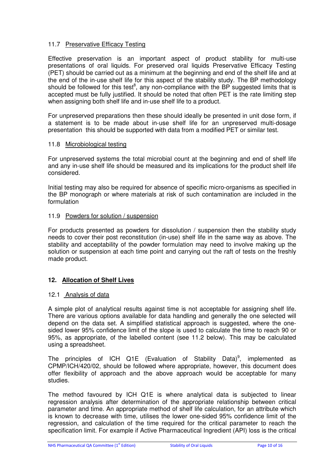## 11.7 Preservative Efficacy Testing

Effective preservation is an important aspect of product stability for multi-use presentations of oral liquids. For preserved oral liquids Preservative Efficacy Testing (PET) should be carried out as a minimum at the beginning and end of the shelf life and at the end of the in-use shelf life for this aspect of the stability study. The BP methodology should be followed for this test<sup>8</sup>, any non-compliance with the BP suggested limits that is accepted must be fully justified. It should be noted that often PET is the rate limiting step when assigning both shelf life and in-use shelf life to a product.

For unpreserved preparations then these should ideally be presented in unit dose form, if a statement is to be made about in-use shelf life for an unpreserved multi-dosage presentation this should be supported with data from a modified PET or similar test.

## 11.8 Microbiological testing

For unpreserved systems the total microbial count at the beginning and end of shelf life and any in-use shelf life should be measured and its implications for the product shelf life considered.

Initial testing may also be required for absence of specific micro-organisms as specified in the BP monograph or where materials at risk of such contamination are included in the formulation

## 11.9 Powders for solution / suspension

For products presented as powders for dissolution / suspension then the stability study needs to cover their post reconstitution (in-use) shelf life in the same way as above. The stability and acceptability of the powder formulation may need to involve making up the solution or suspension at each time point and carrying out the raft of tests on the freshly made product.

## **12. Allocation of Shelf Lives**

## 12.1 Analysis of data

A simple plot of analytical results against time is not acceptable for assigning shelf life. There are various options available for data handling and generally the one selected will depend on the data set. A simplified statistical approach is suggested, where the onesided lower 95% confidence limit of the slope is used to calculate the time to reach 90 or 95%, as appropriate, of the labelled content (see 11.2 below). This may be calculated using a spreadsheet.

The principles of ICH Q1E (Evaluation of Stability Data)<sup>9</sup>, implemented as CPMP/ICH/420/02, should be followed where appropriate, however, this document does offer flexibility of approach and the above approach would be acceptable for many studies.

The method favoured by ICH Q1E is where analytical data is subjected to linear regression analysis after determination of the appropriate relationship between critical parameter and time. An appropriate method of shelf life calculation, for an attribute which is known to decrease with time, utilises the lower one-sided 95% confidence limit of the regression, and calculation of the time required for the critical parameter to reach the specification limit. For example if Active Pharmaceutical Ingredient (API) loss is the critical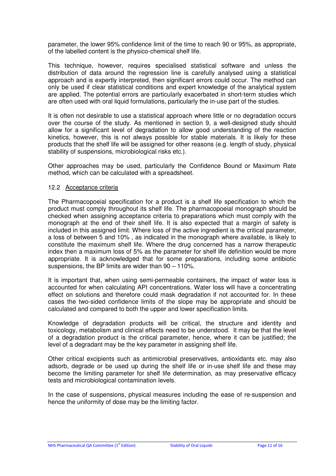parameter, the lower 95% confidence limit of the time to reach 90 or 95%, as appropriate, of the labelled content is the physico-chemical shelf life.

This technique, however, requires specialised statistical software and unless the distribution of data around the regression line is carefully analysed using a statistical approach and is expertly interpreted, then significant errors could occur. The method can only be used if clear statistical conditions and expert knowledge of the analytical system are applied. The potential errors are particularly exacerbated in short-term studies which are often used with oral liquid formulations, particularly the in-use part of the studies.

It is often not desirable to use a statistical approach where little or no degradation occurs over the course of the study. As mentioned in section 9, a well-designed study should allow for a significant level of degradation to allow good understanding of the reaction kinetics, however, this is not always possible for stable materials. It is likely for these products that the shelf life will be assigned for other reasons (e.g. length of study, physical stability of suspensions, microbiological risks etc.).

Other approaches may be used, particularly the Confidence Bound or Maximum Rate method, which can be calculated with a spreadsheet.

#### 12.2 Acceptance criteria

The Pharmacopoeial specification for a product is a shelf life specification to which the product must comply throughout its shelf life. The pharmacopoeial monograph should be checked when assigning acceptance criteria to preparations which must comply with the monograph at the end of their shelf life. It is also expected that a margin of safety is included in this assigned limit. Where loss of the active ingredient is the critical parameter, a loss of between 5 and 10% , as indicated in the monograph where available, is likely to constitute the maximum shelf life. Where the drug concerned has a narrow therapeutic index then a maximum loss of 5% as the parameter for shelf life definition would be more appropriate. It is acknowledged that for some preparations, including some antibiotic suspensions, the BP limits are wider than 90 – 110%.

It is important that, when using semi-permeable containers, the impact of water loss is accounted for when calculating API concentrations. Water loss will have a concentrating effect on solutions and therefore could mask degradation if not accounted for. In these cases the two-sided confidence limits of the slope may be appropriate and should be calculated and compared to both the upper and lower specification limits.

Knowledge of degradation products will be critical, the structure and identity and toxicology, metabolism and clinical effects need to be understood. It may be that the level of a degradation product is the critical parameter, hence, where it can be justified; the level of a degradant may be the key parameter in assigning shelf life.

Other critical excipients such as antimicrobial preservatives, antioxidants etc. may also adsorb, degrade or be used up during the shelf life or in-use shelf life and these may become the limiting parameter for shelf life determination, as may preservative efficacy tests and microbiological contamination levels.

In the case of suspensions, physical measures including the ease of re-suspension and hence the uniformity of dose may be the limiting factor.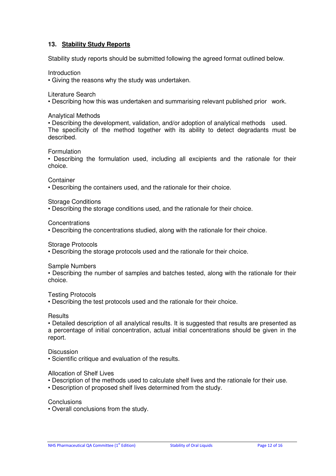## **13. Stability Study Reports**

Stability study reports should be submitted following the agreed format outlined below.

Introduction

• Giving the reasons why the study was undertaken.

Literature Search

• Describing how this was undertaken and summarising relevant published prior work.

Analytical Methods

• Describing the development, validation, and/or adoption of analytical methods used. The specificity of the method together with its ability to detect degradants must be described.

Formulation

• Describing the formulation used, including all excipients and the rationale for their choice.

**Container** 

• Describing the containers used, and the rationale for their choice.

Storage Conditions

• Describing the storage conditions used, and the rationale for their choice.

**Concentrations** 

• Describing the concentrations studied, along with the rationale for their choice.

Storage Protocols

• Describing the storage protocols used and the rationale for their choice.

Sample Numbers

• Describing the number of samples and batches tested, along with the rationale for their choice.

Testing Protocols

• Describing the test protocols used and the rationale for their choice.

**Results** 

• Detailed description of all analytical results. It is suggested that results are presented as a percentage of initial concentration, actual initial concentrations should be given in the report.

**Discussion** 

• Scientific critique and evaluation of the results.

Allocation of Shelf Lives

- Description of the methods used to calculate shelf lives and the rationale for their use.
- Description of proposed shelf lives determined from the study.

**Conclusions** 

• Overall conclusions from the study.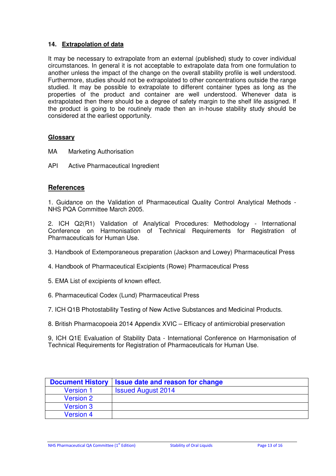## **14. Extrapolation of data**

It may be necessary to extrapolate from an external (published) study to cover individual circumstances. In general it is not acceptable to extrapolate data from one formulation to another unless the impact of the change on the overall stability profile is well understood. Furthermore, studies should not be extrapolated to other concentrations outside the range studied. It may be possible to extrapolate to different container types as long as the properties of the product and container are well understood. Whenever data is extrapolated then there should be a degree of safety margin to the shelf life assigned. If the product is going to be routinely made then an in-house stability study should be considered at the earliest opportunity.

## **Glossary**

- MA Marketing Authorisation
- API Active Pharmaceutical Ingredient

## **References**

1. Guidance on the Validation of Pharmaceutical Quality Control Analytical Methods - NHS PQA Committee March 2005.

2. ICH Q2(R1) Validation of Analytical Procedures: Methodology - International Conference on Harmonisation of Technical Requirements for Registration of Pharmaceuticals for Human Use.

- 3. Handbook of Extemporaneous preparation (Jackson and Lowey) Pharmaceutical Press
- 4. Handbook of Pharmaceutical Excipients (Rowe) Pharmaceutical Press
- 5. EMA List of excipients of known effect.
- 6. Pharmaceutical Codex (Lund) Pharmaceutical Press
- 7. ICH Q1B Photostability Testing of New Active Substances and Medicinal Products.
- 8. British Pharmacopoeia 2014 Appendix XVIC Efficacy of antimicrobial preservation

9, ICH Q1E Evaluation of Stability Data - International Conference on Harmonisation of Technical Requirements for Registration of Pharmaceuticals for Human Use.

| <b>Document History</b> | <b>Issue date and reason for change</b> |
|-------------------------|-----------------------------------------|
| <b>Version 1</b>        | <b>Issued August 2014</b>               |
| <b>Version 2</b>        |                                         |
| <b>Version 3</b>        |                                         |
| <b>Version 4</b>        |                                         |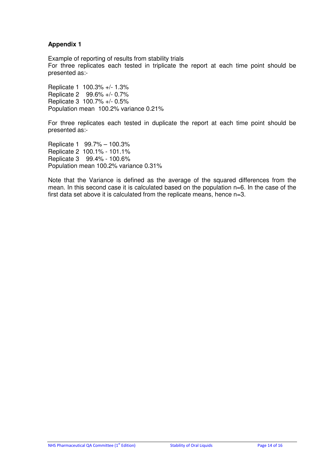## **Appendix 1**

Example of reporting of results from stability trials For three replicates each tested in triplicate the report at each time point should be presented as:-

Replicate 1 100.3% +/- 1.3% Replicate 2 99.6% +/- 0.7% Replicate 3 100.7% +/- 0.5% Population mean 100.2% variance 0.21%

For three replicates each tested in duplicate the report at each time point should be presented as:-

Replicate 1 99.7% – 100.3% Replicate 2 100.1% - 101.1% Replicate 3 99.4% - 100.6% Population mean 100.2% variance 0.31%

Note that the Variance is defined as the average of the squared differences from the mean. In this second case it is calculated based on the population n=6. In the case of the first data set above it is calculated from the replicate means, hence n=3.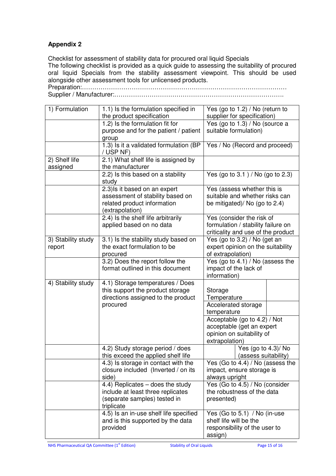## **Appendix 2**

Checklist for assessment of stability data for procured oral liquid Specials The following checklist is provided as a quick guide to assessing the suitability of procured oral liquid Specials from the stability assessment viewpoint. This should be used alongside other assessment tools for unlicensed products.

Preparation:……………………………………………………………………………………… Supplier / Manufacturer:……………………………………………………………………….

| 1) Formulation     | 1.1) Is the formulation specified in<br>the product specification      | Yes (go to 1.2) / No (return to<br>supplier for specification) |
|--------------------|------------------------------------------------------------------------|----------------------------------------------------------------|
|                    | 1.2) Is the formulation fit for                                        | Yes (go to $1.3$ ) / No (source a                              |
|                    | purpose and for the patient / patient                                  | suitable formulation)                                          |
|                    | group                                                                  |                                                                |
|                    | 1.3) Is it a validated formulation (BP                                 | Yes / No (Record and proceed)                                  |
|                    | / USP NF)                                                              |                                                                |
| 2) Shelf life      | 2.1) What shelf life is assigned by                                    |                                                                |
| assigned           | the manufacturer                                                       |                                                                |
|                    | 2.2) Is this based on a stability                                      | Yes (go to $3.1$ ) / No (go to $2.3$ )                         |
|                    | study                                                                  |                                                                |
|                    | 2.3) Is it based on an expert                                          | Yes (assess whether this is                                    |
|                    | assessment of stability based on                                       | suitable and whether risks can                                 |
|                    | related product information                                            | be mitigated)/ No (go to 2.4)                                  |
|                    | (extrapolation)                                                        |                                                                |
|                    | 2.4) Is the shelf life arbitrarily                                     | Yes (consider the risk of                                      |
|                    | applied based on no data                                               | formulation / stability failure on                             |
|                    |                                                                        | criticality and use of the product                             |
| 3) Stability study | 3.1) Is the stability study based on                                   | Yes (go to 3.2) / No (get an                                   |
| report             | the exact formulation to be                                            | expert opinion on the suitability                              |
|                    | procured                                                               | of extrapolation)                                              |
|                    | 3.2) Does the report follow the                                        | Yes (go to 4.1) / No (assess the                               |
|                    | format outlined in this document                                       | impact of the lack of                                          |
|                    |                                                                        | information)                                                   |
| 4) Stability study | 4.1) Storage temperatures / Does                                       |                                                                |
|                    | this support the product storage                                       | Storage                                                        |
|                    | directions assigned to the product                                     | Temperature                                                    |
|                    | procured                                                               | Accelerated storage                                            |
|                    |                                                                        | temperature                                                    |
|                    |                                                                        | Acceptable (go to 4.2) / Not                                   |
|                    |                                                                        | acceptable (get an expert                                      |
|                    |                                                                        | opinion on suitability of                                      |
|                    |                                                                        | extrapolation)                                                 |
|                    | 4.2) Study storage period / does<br>this exceed the applied shelf life | Yes (go to 4.3)/ No<br>(assess suitability)                    |
|                    | 4.3) Is storage in contact with the                                    | Yes (Go to 4.4) / No (assess the                               |
|                    | closure included (Inverted / on its                                    | impact, ensure storage is                                      |
|                    | side)                                                                  | always upright                                                 |
|                    | 4.4) Replicates - does the study                                       | Yes (Go to 4.5) / No (consider                                 |
|                    | include at least three replicates                                      | the robustness of the data                                     |
|                    | (separate samples) tested in                                           | presented)                                                     |
|                    | triplicate                                                             |                                                                |
|                    | 4.5) Is an in-use shelf life specified                                 | Yes (Go to 5.1) / No (in-use                                   |
|                    | and is this supported by the data                                      | shelf life will be the                                         |
|                    | provided                                                               | responsibility of the user to                                  |
|                    |                                                                        | assign)                                                        |